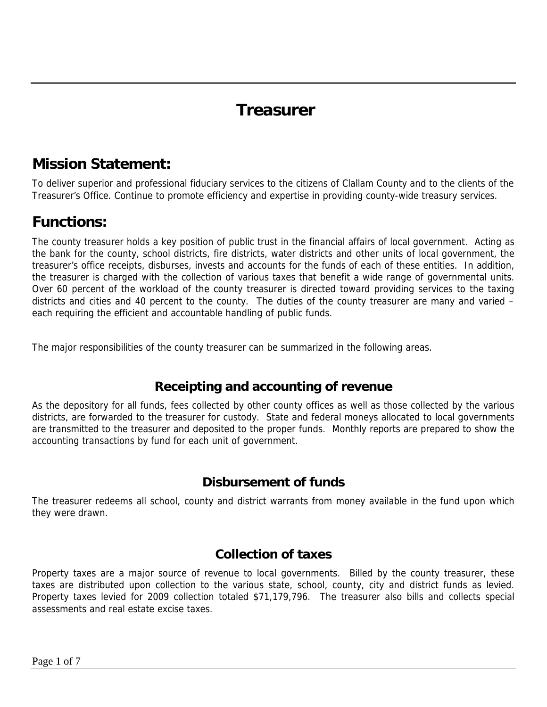## **Treasurer**

#### **Mission Statement:**

To deliver superior and professional fiduciary services to the citizens of Clallam County and to the clients of the Treasurer's Office. Continue to promote efficiency and expertise in providing county-wide treasury services.

### **Functions:**

The county treasurer holds a key position of public trust in the financial affairs of local government. Acting as the bank for the county, school districts, fire districts, water districts and other units of local government, the treasurer's office receipts, disburses, invests and accounts for the funds of each of these entities. In addition, the treasurer is charged with the collection of various taxes that benefit a wide range of governmental units. Over 60 percent of the workload of the county treasurer is directed toward providing services to the taxing districts and cities and 40 percent to the county. The duties of the county treasurer are many and varied – each requiring the efficient and accountable handling of public funds.

The major responsibilities of the county treasurer can be summarized in the following areas.

#### **Receipting and accounting of revenue**

As the depository for all funds, fees collected by other county offices as well as those collected by the various districts, are forwarded to the treasurer for custody. State and federal moneys allocated to local governments are transmitted to the treasurer and deposited to the proper funds. Monthly reports are prepared to show the accounting transactions by fund for each unit of government.

#### **Disbursement of funds**

The treasurer redeems all school, county and district warrants from money available in the fund upon which they were drawn.

#### **Collection of taxes**

Property taxes are a major source of revenue to local governments. Billed by the county treasurer, these taxes are distributed upon collection to the various state, school, county, city and district funds as levied. Property taxes levied for 2009 collection totaled \$71,179,796. The treasurer also bills and collects special assessments and real estate excise taxes.

Page 1 of 7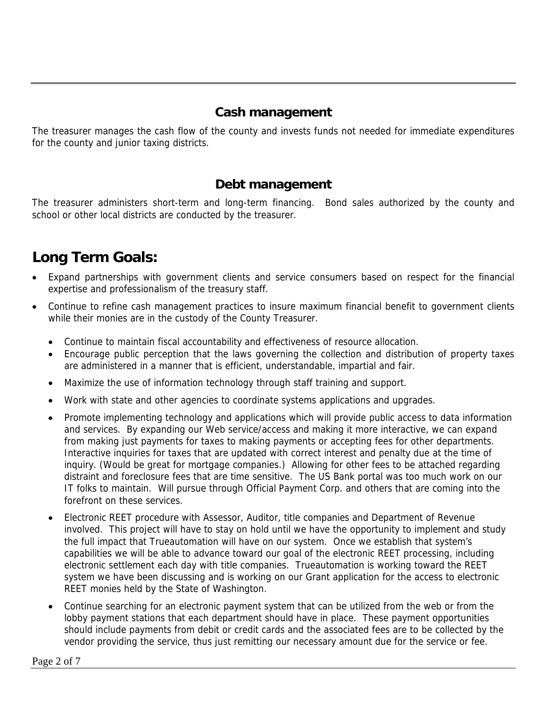#### **Cash management**

The treasurer manages the cash flow of the county and invests funds not needed for immediate expenditures for the county and junior taxing districts.

#### **Debt management**

The treasurer administers short-term and long-term financing. Bond sales authorized by the county and school or other local districts are conducted by the treasurer.

### **Long Term Goals:**

- Expand partnerships with government clients and service consumers based on respect for the financial expertise and professionalism of the treasury staff.
- Continue to refine cash management practices to insure maximum financial benefit to government clients while their monies are in the custody of the County Treasurer.
	- Continue to maintain fiscal accountability and effectiveness of resource allocation.
	- Encourage public perception that the laws governing the collection and distribution of property taxes are administered in a manner that is efficient, understandable, impartial and fair.
	- Maximize the use of information technology through staff training and support.
	- Work with state and other agencies to coordinate systems applications and upgrades.
	- Promote implementing technology and applications which will provide public access to data information and services. By expanding our Web service/access and making it more interactive, we can expand from making just payments for taxes to making payments or accepting fees for other departments. Interactive inquiries for taxes that are updated with correct interest and penalty due at the time of inquiry. (Would be great for mortgage companies.) Allowing for other fees to be attached regarding distraint and foreclosure fees that are time sensitive. The US Bank portal was too much work on our IT folks to maintain. Will pursue through Official Payment Corp. and others that are coming into the forefront on these services.
	- Electronic REET procedure with Assessor, Auditor, title companies and Department of Revenue involved. This project will have to stay on hold until we have the opportunity to implement and study the full impact that Trueautomation will have on our system. Once we establish that system's capabilities we will be able to advance toward our goal of the electronic REET processing, including electronic settlement each day with title companies. Trueautomation is working toward the REET system we have been discussing and is working on our Grant application for the access to electronic REET monies held by the State of Washington.
	- Continue searching for an electronic payment system that can be utilized from the web or from the lobby payment stations that each department should have in place. These payment opportunities should include payments from debit or credit cards and the associated fees are to be collected by the vendor providing the service, thus just remitting our necessary amount due for the service or fee.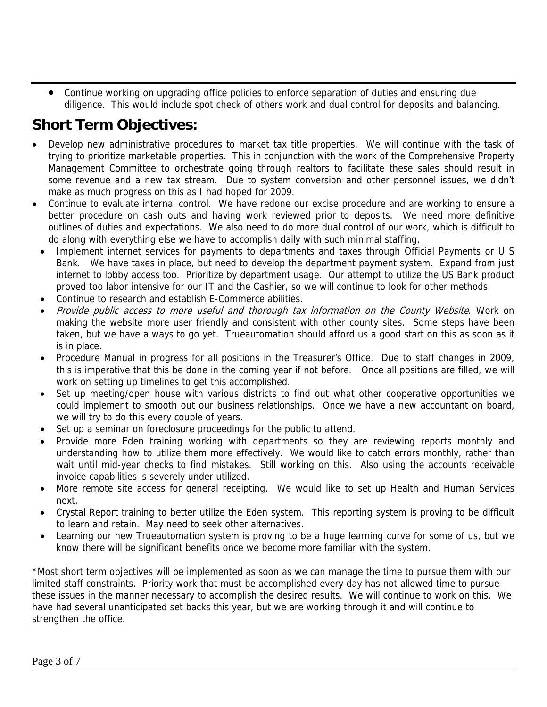• Continue working on upgrading office policies to enforce separation of duties and ensuring due diligence. This would include spot check of others work and dual control for deposits and balancing.

## **Short Term Objectives:**

- Develop new administrative procedures to market tax title properties. We will continue with the task of trying to prioritize marketable properties. This in conjunction with the work of the Comprehensive Property Management Committee to orchestrate going through realtors to facilitate these sales should result in some revenue and a new tax stream. Due to system conversion and other personnel issues, we didn't make as much progress on this as I had hoped for 2009.
- Continue to evaluate internal control. We have redone our excise procedure and are working to ensure a better procedure on cash outs and having work reviewed prior to deposits. We need more definitive outlines of duties and expectations. We also need to do more dual control of our work, which is difficult to do along with everything else we have to accomplish daily with such minimal staffing.
	- Implement internet services for payments to departments and taxes through Official Payments or U S Bank. We have taxes in place, but need to develop the department payment system. Expand from just internet to lobby access too. Prioritize by department usage. Our attempt to utilize the US Bank product proved too labor intensive for our IT and the Cashier, so we will continue to look for other methods.
	- Continue to research and establish E-Commerce abilities.
	- Provide public access to more useful and thorough tax information on the County Website. Work on making the website more user friendly and consistent with other county sites. Some steps have been taken, but we have a ways to go yet. Trueautomation should afford us a good start on this as soon as it is in place.
	- Procedure Manual in progress for all positions in the Treasurer's Office. Due to staff changes in 2009, this is imperative that this be done in the coming year if not before. Once all positions are filled, we will work on setting up timelines to get this accomplished.
	- Set up meeting/open house with various districts to find out what other cooperative opportunities we could implement to smooth out our business relationships. Once we have a new accountant on board, we will try to do this every couple of years.
	- Set up a seminar on foreclosure proceedings for the public to attend.
	- Provide more Eden training working with departments so they are reviewing reports monthly and understanding how to utilize them more effectively. We would like to catch errors monthly, rather than wait until mid-year checks to find mistakes. Still working on this. Also using the accounts receivable invoice capabilities is severely under utilized.
	- More remote site access for general receipting. We would like to set up Health and Human Services next.
	- Crystal Report training to better utilize the Eden system. This reporting system is proving to be difficult to learn and retain. May need to seek other alternatives.
	- Learning our new Trueautomation system is proving to be a huge learning curve for some of us, but we know there will be significant benefits once we become more familiar with the system.

\*Most short term objectives will be implemented as soon as we can manage the time to pursue them with our limited staff constraints. Priority work that must be accomplished every day has not allowed time to pursue these issues in the manner necessary to accomplish the desired results. We will continue to work on this. We have had several unanticipated set backs this year, but we are working through it and will continue to strengthen the office.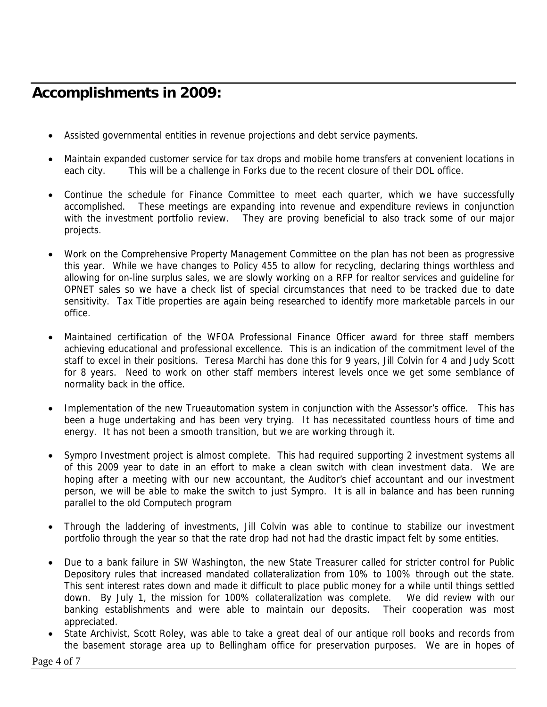## **Accomplishments in 2009:**

- Assisted governmental entities in revenue projections and debt service payments.
- Maintain expanded customer service for tax drops and mobile home transfers at convenient locations in each city. This will be a challenge in Forks due to the recent closure of their DOL office.
- Continue the schedule for Finance Committee to meet each quarter, which we have successfully accomplished. These meetings are expanding into revenue and expenditure reviews in conjunction with the investment portfolio review. They are proving beneficial to also track some of our major projects.
- Work on the Comprehensive Property Management Committee on the plan has not been as progressive this year. While we have changes to Policy 455 to allow for recycling, declaring things worthless and allowing for on-line surplus sales, we are slowly working on a RFP for realtor services and guideline for OPNET sales so we have a check list of special circumstances that need to be tracked due to date sensitivity. Tax Title properties are again being researched to identify more marketable parcels in our office.
- Maintained certification of the WFOA Professional Finance Officer award for three staff members achieving educational and professional excellence. This is an indication of the commitment level of the staff to excel in their positions. Teresa Marchi has done this for 9 years, Jill Colvin for 4 and Judy Scott for 8 years. Need to work on other staff members interest levels once we get some semblance of normality back in the office.
- Implementation of the new Trueautomation system in conjunction with the Assessor's office. This has been a huge undertaking and has been very trying. It has necessitated countless hours of time and energy. It has not been a smooth transition, but we are working through it.
- Sympro Investment project is almost complete. This had required supporting 2 investment systems all of this 2009 year to date in an effort to make a clean switch with clean investment data. We are hoping after a meeting with our new accountant, the Auditor's chief accountant and our investment person, we will be able to make the switch to just Sympro. It is all in balance and has been running parallel to the old Computech program
- Through the laddering of investments, Jill Colvin was able to continue to stabilize our investment portfolio through the year so that the rate drop had not had the drastic impact felt by some entities.
- Due to a bank failure in SW Washington, the new State Treasurer called for stricter control for Public Depository rules that increased mandated collateralization from 10% to 100% through out the state. This sent interest rates down and made it difficult to place public money for a while until things settled down. By July 1, the mission for 100% collateralization was complete. We did review with our banking establishments and were able to maintain our deposits. Their cooperation was most appreciated.
- State Archivist, Scott Roley, was able to take a great deal of our antique roll books and records from the basement storage area up to Bellingham office for preservation purposes. We are in hopes of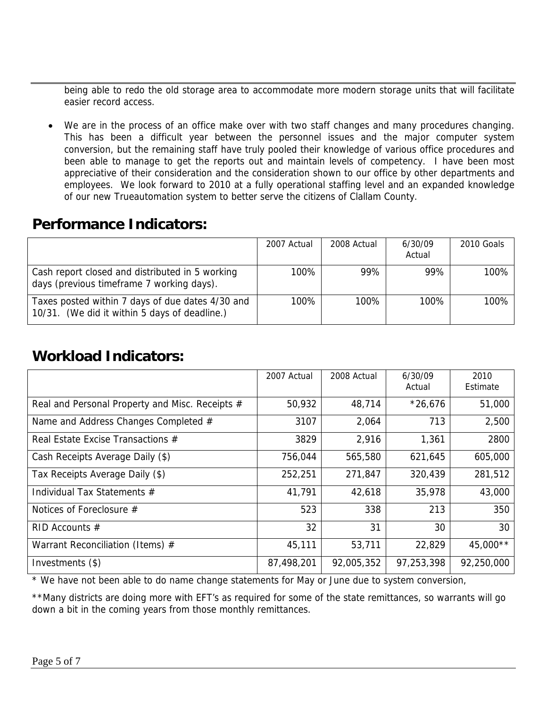being able to redo the old storage area to accommodate more modern storage units that will facilitate easier record access.

We are in the process of an office make over with two staff changes and many procedures changing. This has been a difficult year between the personnel issues and the major computer system conversion, but the remaining staff have truly pooled their knowledge of various office procedures and been able to manage to get the reports out and maintain levels of competency. I have been most appreciative of their consideration and the consideration shown to our office by other departments and employees. We look forward to 2010 at a fully operational staffing level and an expanded knowledge of our new Trueautomation system to better serve the citizens of Clallam County.

#### **Performance Indicators:**

|                                                                                                   | 2007 Actual | 2008 Actual | 6/30/09<br>Actual | 2010 Goals |
|---------------------------------------------------------------------------------------------------|-------------|-------------|-------------------|------------|
| Cash report closed and distributed in 5 working<br>days (previous timeframe 7 working days).      | 100%        | 99%         | 99%               | 100%       |
| Taxes posted within 7 days of due dates 4/30 and<br>10/31. (We did it within 5 days of deadline.) | 100%        | 100%        | 100%              | 100%       |

### **Workload Indicators:**

|                                                 | 2007 Actual | 2008 Actual | 6/30/09<br>Actual | 2010<br>Estimate |
|-------------------------------------------------|-------------|-------------|-------------------|------------------|
| Real and Personal Property and Misc. Receipts # | 50,932      | 48,714      | $*26,676$         | 51,000           |
| Name and Address Changes Completed #            | 3107        | 2,064       | 713               | 2,500            |
| Real Estate Excise Transactions $#$             | 3829        | 2,916       | 1,361             | 2800             |
| Cash Receipts Average Daily (\$)                | 756,044     | 565,580     | 621,645           | 605,000          |
| Tax Receipts Average Daily (\$)                 | 252,251     | 271,847     | 320,439           | 281,512          |
| Individual Tax Statements #                     | 41,791      | 42,618      | 35,978            | 43,000           |
| Notices of Foreclosure $#$                      | 523         | 338         | 213               | 350              |
| RID Accounts $#$                                | 32          | 31          | 30                | 30               |
| Warrant Reconciliation (Items) #                | 45,111      | 53,711      | 22,829            | 45,000**         |
| Investments (\$)                                | 87,498,201  | 92,005,352  | 97,253,398        | 92,250,000       |

\* We have not been able to do name change statements for May or June due to system conversion,

\*\*Many districts are doing more with EFT's as required for some of the state remittances, so warrants will go down a bit in the coming years from those monthly remittances.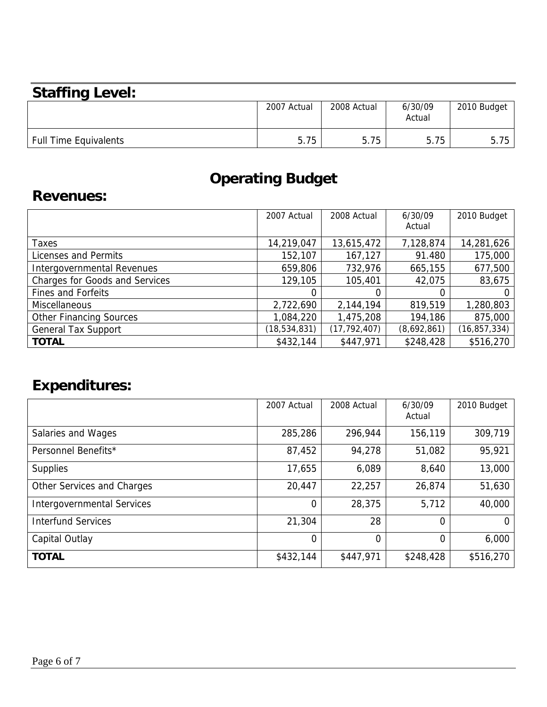# **Staffing Level:**

|                              | 2007 Actual | 2008 Actual | 6/30/09<br>Actual | 2010 Budget |
|------------------------------|-------------|-------------|-------------------|-------------|
| <b>Full Time Equivalents</b> | 5.75        | 5.75        | 5.75              | 5.75<br>Б.  |

# **Operating Budget**

## **Revenues:**

|                                       | 2007 Actual    | 2008 Actual    | 6/30/09     | 2010 Budget    |
|---------------------------------------|----------------|----------------|-------------|----------------|
|                                       |                |                | Actual      |                |
| Taxes                                 | 14,219,047     | 13,615,472     | 7,128,874   | 14,281,626     |
| Licenses and Permits                  | 152,107        | 167,127        | 91.480      | 175,000        |
| Intergovernmental Revenues            | 659,806        | 732,976        | 665,155     | 677,500        |
| <b>Charges for Goods and Services</b> | 129,105        | 105,401        | 42,075      | 83,675         |
| <b>Fines and Forfeits</b>             |                |                |             |                |
| Miscellaneous                         | 2,722,690      | 2,144,194      | 819,519     | 1,280,803      |
| <b>Other Financing Sources</b>        | 1,084,220      | 1,475,208      | 194,186     | 875,000        |
| <b>General Tax Support</b>            | (18, 534, 831) | (17, 792, 407) | (8,692,861) | (16, 857, 334) |
| <b>TOTAL</b>                          | \$432,144      | \$447,971      | \$248,428   | \$516,270      |

# **Expenditures:**

|                                   | 2007 Actual    | 2008 Actual | 6/30/09<br>Actual | 2010 Budget |
|-----------------------------------|----------------|-------------|-------------------|-------------|
| Salaries and Wages                | 285,286        | 296,944     | 156,119           | 309,719     |
| Personnel Benefits*               | 87,452         | 94,278      | 51,082            | 95,921      |
| <b>Supplies</b>                   | 17,655         | 6,089       | 8,640             | 13,000      |
| Other Services and Charges        | 20,447         | 22,257      | 26,874            | 51,630      |
| <b>Intergovernmental Services</b> | $\Omega$       | 28,375      | 5,712             | 40,000      |
| <b>Interfund Services</b>         | 21,304         | 28          | 0                 | $\Omega$    |
| Capital Outlay                    | $\overline{0}$ | 0           | $\Omega$          | 6,000       |
| <b>TOTAL</b>                      | \$432,144      | \$447,971   | \$248,428         | \$516,270   |